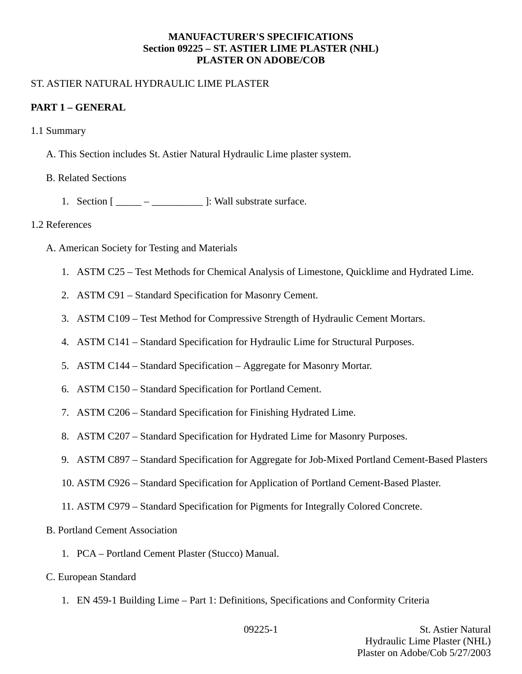#### **MANUFACTURER'S SPECIFICATIONS Section 09225 – ST. ASTIER LIME PLASTER (NHL) PLASTER ON ADOBE/COB**

#### ST. ASTIER NATURAL HYDRAULIC LIME PLASTER

#### **PART 1 – GENERAL**

- 1.1 Summary
	- A. This Section includes St. Astier Natural Hydraulic Lime plaster system.
	- B. Related Sections
		- 1. Section  $[\underline{\hspace{1cm}} \underline{\hspace{1cm}} \underline{\hspace{1cm}}]$ : Wall substrate surface.

#### 1.2 References

- A. American Society for Testing and Materials
	- 1. ASTM C25 Test Methods for Chemical Analysis of Limestone, Quicklime and Hydrated Lime.
	- 2. ASTM C91 Standard Specification for Masonry Cement.
	- 3. ASTM C109 Test Method for Compressive Strength of Hydraulic Cement Mortars.
	- 4. ASTM C141 Standard Specification for Hydraulic Lime for Structural Purposes.
	- 5. ASTM C144 Standard Specification Aggregate for Masonry Mortar.
	- 6. ASTM C150 Standard Specification for Portland Cement.
	- 7. ASTM C206 Standard Specification for Finishing Hydrated Lime.
	- 8. ASTM C207 Standard Specification for Hydrated Lime for Masonry Purposes.
	- 9. ASTM C897 Standard Specification for Aggregate for Job-Mixed Portland Cement-Based Plasters
	- 10. ASTM C926 Standard Specification for Application of Portland Cement-Based Plaster.
	- 11. ASTM C979 Standard Specification for Pigments for Integrally Colored Concrete.
- B. Portland Cement Association
	- 1. PCA Portland Cement Plaster (Stucco) Manual.
- C. European Standard
	- 1. EN 459-1 Building Lime Part 1: Definitions, Specifications and Conformity Criteria

09225-1 St. Astier Natural Hydraulic Lime Plaster (NHL) Plaster on Adobe/Cob 5/27/2003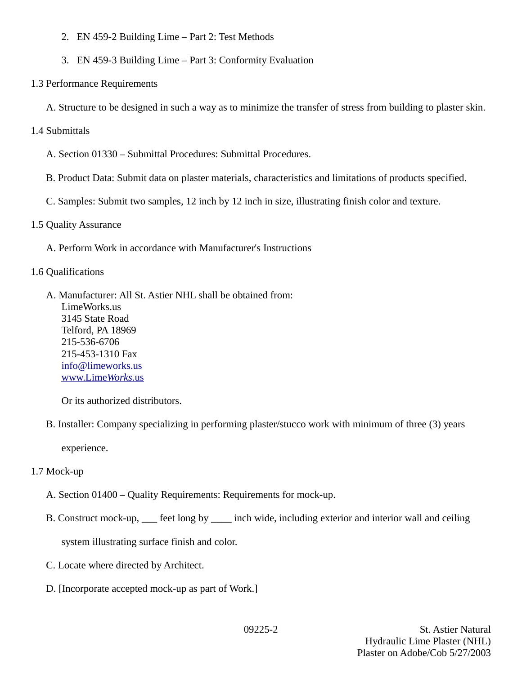- 2. EN 459-2 Building Lime Part 2: Test Methods
- 3. EN 459-3 Building Lime Part 3: Conformity Evaluation
- 1.3 Performance Requirements
	- A. Structure to be designed in such a way as to minimize the transfer of stress from building to plaster skin.
- 1.4 Submittals
	- A. Section 01330 Submittal Procedures: Submittal Procedures.
	- B. Product Data: Submit data on plaster materials, characteristics and limitations of products specified.
	- C. Samples: Submit two samples, 12 inch by 12 inch in size, illustrating finish color and texture.
- 1.5 Quality Assurance
	- A. Perform Work in accordance with Manufacturer's Instructions
- 1.6 Qualifications
	- A. Manufacturer: All St. Astier NHL shall be obtained from: LimeWorks.us 3145 State Road Telford, PA 18969 215-536-6706 215-453-1310 Fax info@limeworks.us  [www.Lime](http://www.LimeWorks.us/) *[Works](http://www.LimeWorks.us/)*[.us](http://www.LimeWorks.us/)

Or its authorized distributors.

B. Installer: Company specializing in performing plaster/stucco work with minimum of three (3) years

experience.

- 1.7 Mock-up
	- A. Section 01400 Quality Requirements: Requirements for mock-up.
	- B. Construct mock-up, \_\_\_ feet long by \_\_\_\_ inch wide, including exterior and interior wall and ceiling

system illustrating surface finish and color.

- C. Locate where directed by Architect.
- D. [Incorporate accepted mock-up as part of Work.]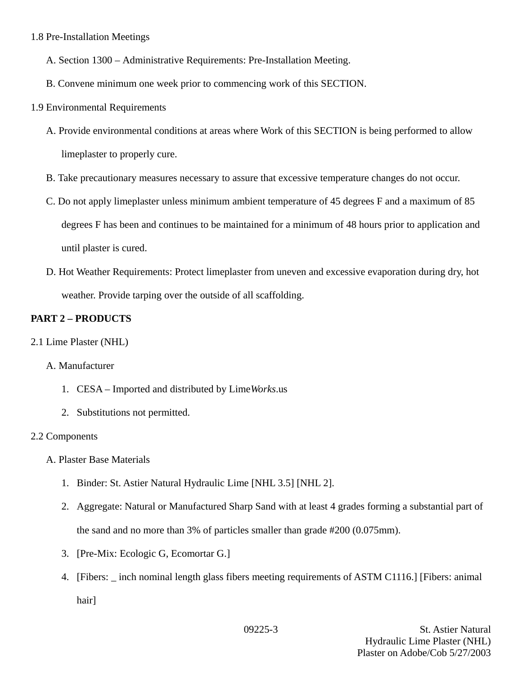#### 1.8 Pre-Installation Meetings

- A. Section 1300 Administrative Requirements: Pre-Installation Meeting.
- B. Convene minimum one week prior to commencing work of this SECTION.
- 1.9 Environmental Requirements
	- A. Provide environmental conditions at areas where Work of this SECTION is being performed to allow limeplaster to properly cure.
	- B. Take precautionary measures necessary to assure that excessive temperature changes do not occur.
	- C. Do not apply limeplaster unless minimum ambient temperature of 45 degrees F and a maximum of 85 degrees F has been and continues to be maintained for a minimum of 48 hours prior to application and until plaster is cured.
	- D. Hot Weather Requirements: Protect limeplaster from uneven and excessive evaporation during dry, hot weather. Provide tarping over the outside of all scaffolding.

## **PART 2 – PRODUCTS**

2.1 Lime Plaster (NHL)

### A. Manufacturer

- 1. CESA Imported and distributed by Lime*Works*.us
- 2. Substitutions not permitted.

### 2.2 Components

- A. Plaster Base Materials
	- 1. Binder: St. Astier Natural Hydraulic Lime [NHL 3.5] [NHL 2].
	- 2. Aggregate: Natural or Manufactured Sharp Sand with at least 4 grades forming a substantial part of the sand and no more than 3% of particles smaller than grade #200 (0.075mm).
	- 3. [Pre-Mix: Ecologic G, Ecomortar G.]
	- 4. [Fibers: \_ inch nominal length glass fibers meeting requirements of ASTM C1116.] [Fibers: animal hair]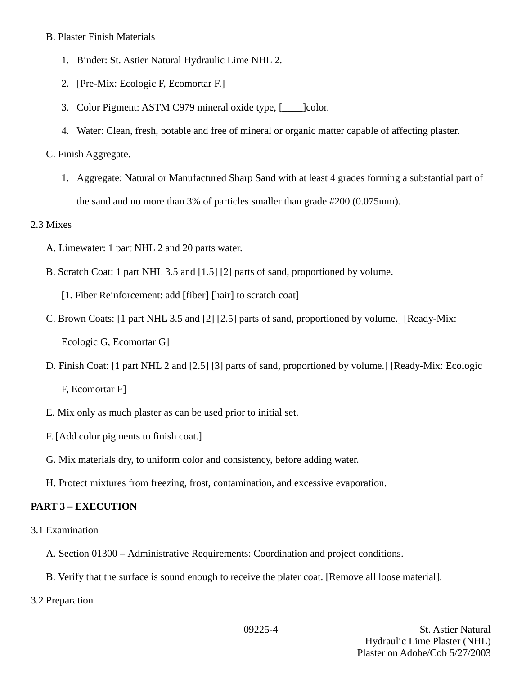#### B. Plaster Finish Materials

- 1. Binder: St. Astier Natural Hydraulic Lime NHL 2.
- 2. [Pre-Mix: Ecologic F, Ecomortar F.]
- 3. Color Pigment: ASTM C979 mineral oxide type, [\_\_\_\_]color.
- 4. Water: Clean, fresh, potable and free of mineral or organic matter capable of affecting plaster.

## C. Finish Aggregate.

1. Aggregate: Natural or Manufactured Sharp Sand with at least 4 grades forming a substantial part of the sand and no more than 3% of particles smaller than grade #200 (0.075mm).

### 2.3 Mixes

- A. Limewater: 1 part NHL 2 and 20 parts water.
- B. Scratch Coat: 1 part NHL 3.5 and [1.5] [2] parts of sand, proportioned by volume.

[1. Fiber Reinforcement: add [fiber] [hair] to scratch coat]

- C. Brown Coats: [1 part NHL 3.5 and [2] [2.5] parts of sand, proportioned by volume.] [Ready-Mix: Ecologic G, Ecomortar G]
- D. Finish Coat: [1 part NHL 2 and [2.5] [3] parts of sand, proportioned by volume.] [Ready-Mix: Ecologic

F, Ecomortar F]

- E. Mix only as much plaster as can be used prior to initial set.
- F. [Add color pigments to finish coat.]
- G. Mix materials dry, to uniform color and consistency, before adding water.
- H. Protect mixtures from freezing, frost, contamination, and excessive evaporation.

## **PART 3 – EXECUTION**

- 3.1 Examination
	- A. Section 01300 Administrative Requirements: Coordination and project conditions.
	- B. Verify that the surface is sound enough to receive the plater coat. [Remove all loose material].
- 3.2 Preparation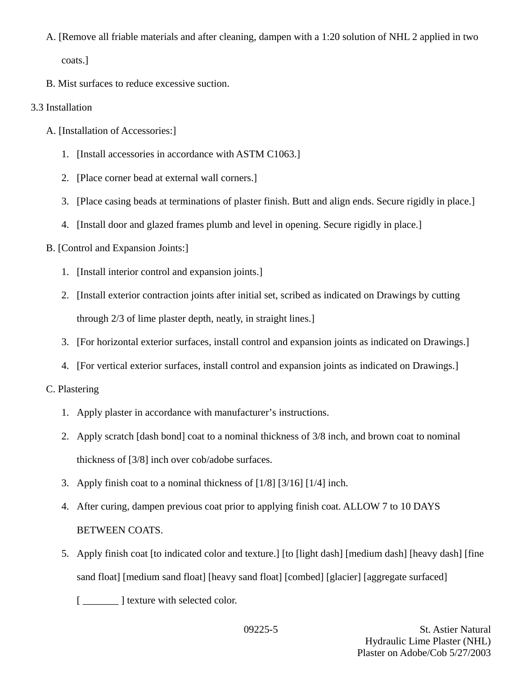A. [Remove all friable materials and after cleaning, dampen with a 1:20 solution of NHL 2 applied in two

coats.]

B. Mist surfaces to reduce excessive suction.

# 3.3 Installation

- A. [Installation of Accessories:]
	- 1. [Install accessories in accordance with ASTM C1063.]
	- 2. [Place corner bead at external wall corners.]
	- 3. [Place casing beads at terminations of plaster finish. Butt and align ends. Secure rigidly in place.]
	- 4. [Install door and glazed frames plumb and level in opening. Secure rigidly in place.]

# B. [Control and Expansion Joints:]

- 1. [Install interior control and expansion joints.]
- 2. [Install exterior contraction joints after initial set, scribed as indicated on Drawings by cutting through 2/3 of lime plaster depth, neatly, in straight lines.]
- 3. [For horizontal exterior surfaces, install control and expansion joints as indicated on Drawings.]
- 4. [For vertical exterior surfaces, install control and expansion joints as indicated on Drawings.]

# C. Plastering

- 1. Apply plaster in accordance with manufacturer's instructions.
- 2. Apply scratch [dash bond] coat to a nominal thickness of 3/8 inch, and brown coat to nominal thickness of [3/8] inch over cob/adobe surfaces.
- 3. Apply finish coat to a nominal thickness of [1/8] [3/16] [1/4] inch.
- 4. After curing, dampen previous coat prior to applying finish coat. ALLOW 7 to 10 DAYS BETWEEN COATS.
- 5. Apply finish coat [to indicated color and texture.] [to [light dash] [medium dash] [heavy dash] [fine sand float] [medium sand float] [heavy sand float] [combed] [glacier] [aggregate surfaced]

[ $\frac{1}{\sqrt{2}}$ ] texture with selected color.